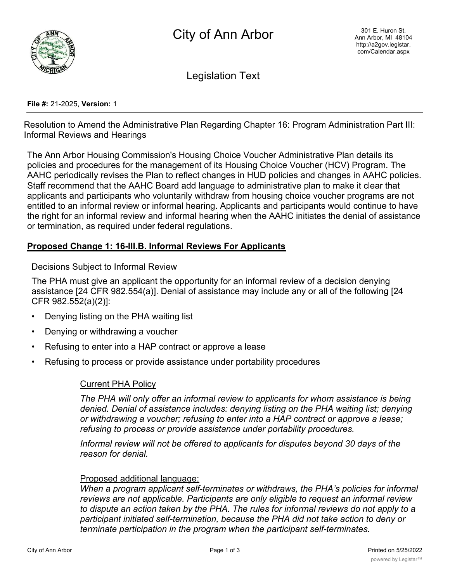

Legislation Text

#### **File #:** 21-2025, **Version:** 1

Resolution to Amend the Administrative Plan Regarding Chapter 16: Program Administration Part III: Informal Reviews and Hearings

The Ann Arbor Housing Commission's Housing Choice Voucher Administrative Plan details its policies and procedures for the management of its Housing Choice Voucher (HCV) Program. The AAHC periodically revises the Plan to reflect changes in HUD policies and changes in AAHC policies. Staff recommend that the AAHC Board add language to administrative plan to make it clear that applicants and participants who voluntarily withdraw from housing choice voucher programs are not entitled to an informal review or informal hearing. Applicants and participants would continue to have the right for an informal review and informal hearing when the AAHC initiates the denial of assistance or termination, as required under federal regulations.

## **Proposed Change 1: 16-III.B. Informal Reviews For Applicants**

Decisions Subject to Informal Review

The PHA must give an applicant the opportunity for an informal review of a decision denying assistance [24 CFR 982.554(a)]. Denial of assistance may include any or all of the following [24 CFR 982.552(a)(2)]:

- Denying listing on the PHA waiting list
- Denying or withdrawing a voucher
- Refusing to enter into a HAP contract or approve a lease
- Refusing to process or provide assistance under portability procedures

### Current PHA Policy

*The PHA will only offer an informal review to applicants for whom assistance is being denied. Denial of assistance includes: denying listing on the PHA waiting list; denying or withdrawing a voucher; refusing to enter into a HAP contract or approve a lease; refusing to process or provide assistance under portability procedures.*

*Informal review will not be offered to applicants for disputes beyond 30 days of the reason for denial.*

### Proposed additional language:

*When a program applicant self-terminates or withdraws, the PHA's policies for informal reviews are not applicable. Participants are only eligible to request an informal review to dispute an action taken by the PHA. The rules for informal reviews do not apply to a participant initiated self-termination, because the PHA did not take action to deny or terminate participation in the program when the participant self-terminates.*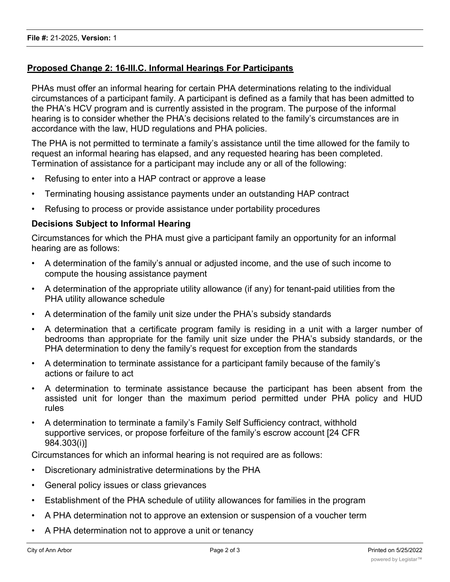# **Proposed Change 2: 16-III.C. Informal Hearings For Participants**

PHAs must offer an informal hearing for certain PHA determinations relating to the individual circumstances of a participant family. A participant is defined as a family that has been admitted to the PHA's HCV program and is currently assisted in the program. The purpose of the informal hearing is to consider whether the PHA's decisions related to the family's circumstances are in accordance with the law, HUD regulations and PHA policies.

The PHA is not permitted to terminate a family's assistance until the time allowed for the family to request an informal hearing has elapsed, and any requested hearing has been completed. Termination of assistance for a participant may include any or all of the following:

- Refusing to enter into a HAP contract or approve a lease
- Terminating housing assistance payments under an outstanding HAP contract
- Refusing to process or provide assistance under portability procedures

### **Decisions Subject to Informal Hearing**

Circumstances for which the PHA must give a participant family an opportunity for an informal hearing are as follows:

- A determination of the family's annual or adjusted income, and the use of such income to compute the housing assistance payment
- A determination of the appropriate utility allowance (if any) for tenant-paid utilities from the PHA utility allowance schedule
- A determination of the family unit size under the PHA's subsidy standards
- A determination that a certificate program family is residing in a unit with a larger number of bedrooms than appropriate for the family unit size under the PHA's subsidy standards, or the PHA determination to deny the family's request for exception from the standards
- A determination to terminate assistance for a participant family because of the family's actions or failure to act
- A determination to terminate assistance because the participant has been absent from the assisted unit for longer than the maximum period permitted under PHA policy and HUD rules
- A determination to terminate a family's Family Self Sufficiency contract, withhold supportive services, or propose forfeiture of the family's escrow account [24 CFR 984.303(i)]

Circumstances for which an informal hearing is not required are as follows:

- Discretionary administrative determinations by the PHA
- General policy issues or class grievances
- Establishment of the PHA schedule of utility allowances for families in the program
- A PHA determination not to approve an extension or suspension of a voucher term
- A PHA determination not to approve a unit or tenancy